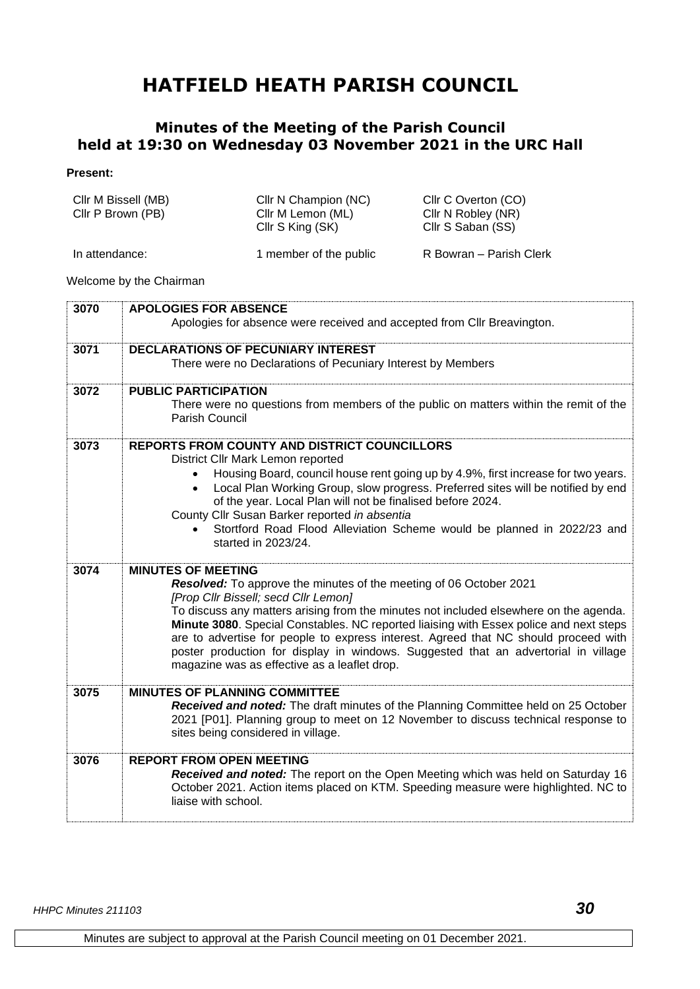## **HATFIELD HEATH PARISH COUNCIL**

## **Minutes of the Meeting of the Parish Council held at 19:30 on Wednesday 03 November 2021 in the URC Hall**

## **Present:**

| Cllr M Bissell (MB)<br>Cllr P Brown (PB) | CIIr N Champion (NC)<br>Cllr M Lemon (ML)<br>Cllr S King (SK) | Cllr C Overton (CO)<br>Cllr N Robley (NR)<br>Cllr S Saban (SS) |
|------------------------------------------|---------------------------------------------------------------|----------------------------------------------------------------|
| In attendance:                           | 1 member of the public                                        | R Bowran – Parish Clerk                                        |

Welcome by the Chairman

| 3070 |                                                                                                                                                                                                                                                                                                                                                                                                              |
|------|--------------------------------------------------------------------------------------------------------------------------------------------------------------------------------------------------------------------------------------------------------------------------------------------------------------------------------------------------------------------------------------------------------------|
|      | <b>APOLOGIES FOR ABSENCE</b><br>Apologies for absence were received and accepted from Cllr Breavington.                                                                                                                                                                                                                                                                                                      |
| 3071 | <b>DECLARATIONS OF PECUNIARY INTEREST</b>                                                                                                                                                                                                                                                                                                                                                                    |
|      | There were no Declarations of Pecuniary Interest by Members                                                                                                                                                                                                                                                                                                                                                  |
| 3072 | <b>PUBLIC PARTICIPATION</b>                                                                                                                                                                                                                                                                                                                                                                                  |
|      | There were no questions from members of the public on matters within the remit of the<br><b>Parish Council</b>                                                                                                                                                                                                                                                                                               |
| 3073 | REPORTS FROM COUNTY AND DISTRICT COUNCILLORS<br>District Cllr Mark Lemon reported                                                                                                                                                                                                                                                                                                                            |
|      | Housing Board, council house rent going up by 4.9%, first increase for two years.<br>Local Plan Working Group, slow progress. Preferred sites will be notified by end<br>of the year. Local Plan will not be finalised before 2024.<br>County Cllr Susan Barker reported in absentia                                                                                                                         |
|      | Stortford Road Flood Alleviation Scheme would be planned in 2022/23 and<br>started in 2023/24.                                                                                                                                                                                                                                                                                                               |
| 3074 | <b>MINUTES OF MEETING</b>                                                                                                                                                                                                                                                                                                                                                                                    |
|      | Resolved: To approve the minutes of the meeting of 06 October 2021<br>[Prop Cllr Bissell; secd Cllr Lemon]                                                                                                                                                                                                                                                                                                   |
|      | To discuss any matters arising from the minutes not included elsewhere on the agenda.<br>Minute 3080. Special Constables. NC reported liaising with Essex police and next steps<br>are to advertise for people to express interest. Agreed that NC should proceed with<br>poster production for display in windows. Suggested that an advertorial in village<br>magazine was as effective as a leaflet drop. |
| 3075 | <b>MINUTES OF PLANNING COMMITTEE</b>                                                                                                                                                                                                                                                                                                                                                                         |
|      | Received and noted: The draft minutes of the Planning Committee held on 25 October<br>2021 [P01]. Planning group to meet on 12 November to discuss technical response to<br>sites being considered in village.                                                                                                                                                                                               |
| 3076 | <b>REPORT FROM OPEN MEETING</b>                                                                                                                                                                                                                                                                                                                                                                              |
|      | Received and noted: The report on the Open Meeting which was held on Saturday 16<br>October 2021. Action items placed on KTM. Speeding measure were highlighted. NC to<br>liaise with school.                                                                                                                                                                                                                |
|      |                                                                                                                                                                                                                                                                                                                                                                                                              |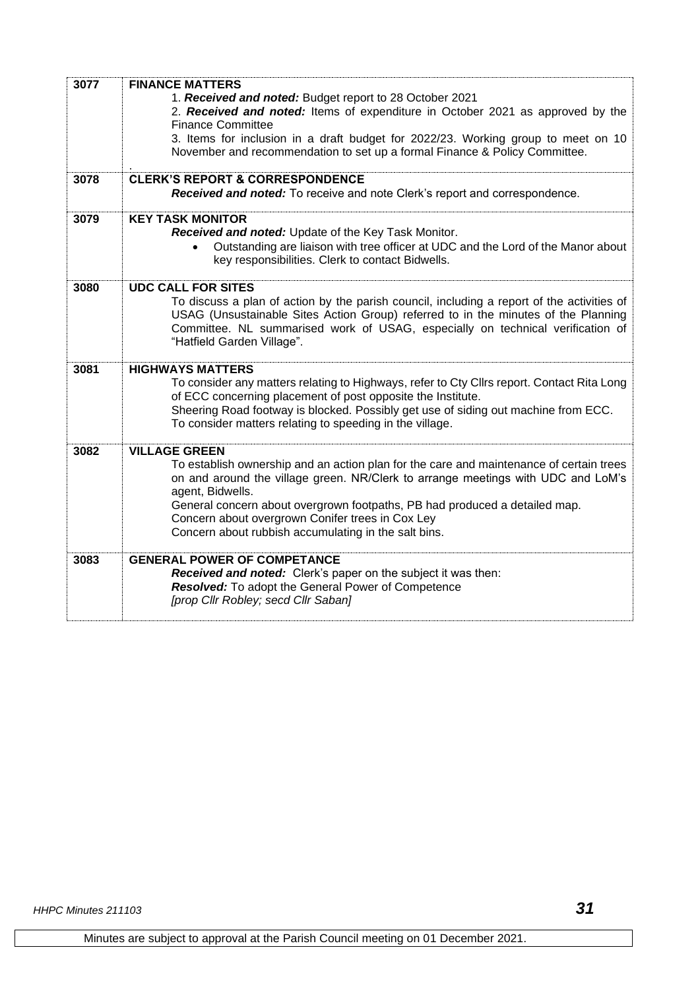| 3077 | <b>FINANCE MATTERS</b>                                                                     |
|------|--------------------------------------------------------------------------------------------|
|      |                                                                                            |
|      | 1. Received and noted: Budget report to 28 October 2021                                    |
|      | 2. Received and noted: Items of expenditure in October 2021 as approved by the             |
|      | <b>Finance Committee</b>                                                                   |
|      | 3. Items for inclusion in a draft budget for 2022/23. Working group to meet on 10          |
|      | November and recommendation to set up a formal Finance & Policy Committee.                 |
|      |                                                                                            |
| 3078 | <b>CLERK'S REPORT &amp; CORRESPONDENCE</b>                                                 |
|      | Received and noted: To receive and note Clerk's report and correspondence.                 |
|      |                                                                                            |
| 3079 | <b>KEY TASK MONITOR</b>                                                                    |
|      | Received and noted: Update of the Key Task Monitor.                                        |
|      | Outstanding are liaison with tree officer at UDC and the Lord of the Manor about           |
|      | key responsibilities. Clerk to contact Bidwells.                                           |
|      |                                                                                            |
| 3080 | <b>UDC CALL FOR SITES</b>                                                                  |
|      | To discuss a plan of action by the parish council, including a report of the activities of |
|      | USAG (Unsustainable Sites Action Group) referred to in the minutes of the Planning         |
|      | Committee. NL summarised work of USAG, especially on technical verification of             |
|      | "Hatfield Garden Village".                                                                 |
|      |                                                                                            |
| 3081 | <b>HIGHWAYS MATTERS</b>                                                                    |
|      | To consider any matters relating to Highways, refer to Cty Cllrs report. Contact Rita Long |
|      | of ECC concerning placement of post opposite the Institute.                                |
|      | Sheering Road footway is blocked. Possibly get use of siding out machine from ECC.         |
|      | To consider matters relating to speeding in the village.                                   |
|      |                                                                                            |
| 3082 | <b>VILLAGE GREEN</b>                                                                       |
|      | To establish ownership and an action plan for the care and maintenance of certain trees    |
|      |                                                                                            |
|      | on and around the village green. NR/Clerk to arrange meetings with UDC and LoM's           |
|      | agent, Bidwells.                                                                           |
|      | General concern about overgrown footpaths, PB had produced a detailed map.                 |
|      | Concern about overgrown Conifer trees in Cox Ley                                           |
|      | Concern about rubbish accumulating in the salt bins.                                       |
|      |                                                                                            |
| 3083 | <b>GENERAL POWER OF COMPETANCE</b>                                                         |
|      | Received and noted: Clerk's paper on the subject it was then:                              |
|      | Resolved: To adopt the General Power of Competence                                         |
|      | [prop Cllr Robley; secd Cllr Saban]                                                        |
|      |                                                                                            |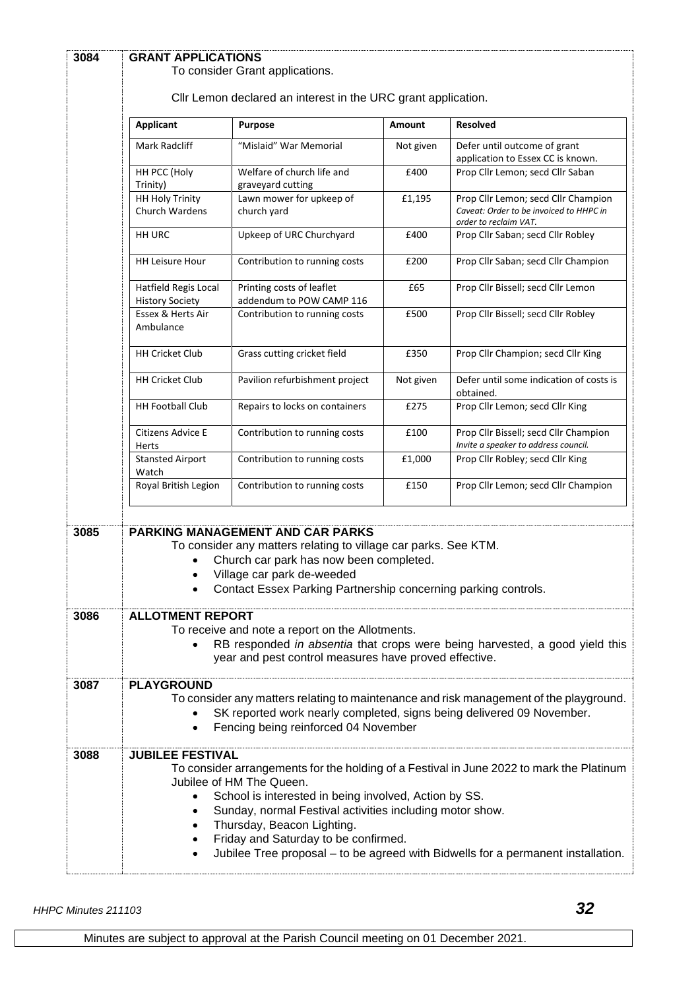| 3084 | <b>GRANT APPLICATIONS</b><br>To consider Grant applications.                                                                                                                                                       |                                                                                                                                                                                                                                                       |           |                                                                                                                                                                              |  |  |
|------|--------------------------------------------------------------------------------------------------------------------------------------------------------------------------------------------------------------------|-------------------------------------------------------------------------------------------------------------------------------------------------------------------------------------------------------------------------------------------------------|-----------|------------------------------------------------------------------------------------------------------------------------------------------------------------------------------|--|--|
|      | Cllr Lemon declared an interest in the URC grant application.                                                                                                                                                      |                                                                                                                                                                                                                                                       |           |                                                                                                                                                                              |  |  |
|      | <b>Applicant</b>                                                                                                                                                                                                   | <b>Purpose</b>                                                                                                                                                                                                                                        | Amount    | <b>Resolved</b>                                                                                                                                                              |  |  |
|      | Mark Radcliff                                                                                                                                                                                                      | "Mislaid" War Memorial                                                                                                                                                                                                                                | Not given | Defer until outcome of grant<br>application to Essex CC is known.                                                                                                            |  |  |
|      | HH PCC (Holy<br>Trinity)                                                                                                                                                                                           | Welfare of church life and<br>graveyard cutting                                                                                                                                                                                                       | £400      | Prop Cllr Lemon; secd Cllr Saban                                                                                                                                             |  |  |
|      | <b>HH Holy Trinity</b><br><b>Church Wardens</b>                                                                                                                                                                    | Lawn mower for upkeep of<br>church yard                                                                                                                                                                                                               | £1,195    | Prop Cllr Lemon; secd Cllr Champion<br>Caveat: Order to be invoiced to HHPC in<br>order to reclaim VAT.                                                                      |  |  |
|      | HH URC                                                                                                                                                                                                             | Upkeep of URC Churchyard                                                                                                                                                                                                                              | £400      | Prop Cllr Saban; secd Cllr Robley                                                                                                                                            |  |  |
|      | <b>HH Leisure Hour</b>                                                                                                                                                                                             | Contribution to running costs                                                                                                                                                                                                                         | £200      | Prop Cllr Saban; secd Cllr Champion                                                                                                                                          |  |  |
|      | Hatfield Regis Local<br><b>History Society</b>                                                                                                                                                                     | Printing costs of leaflet<br>addendum to POW CAMP 116                                                                                                                                                                                                 | £65       | Prop Cllr Bissell; secd Cllr Lemon                                                                                                                                           |  |  |
|      | Essex & Herts Air<br>Ambulance                                                                                                                                                                                     | Contribution to running costs                                                                                                                                                                                                                         | £500      | Prop Cllr Bissell; secd Cllr Robley                                                                                                                                          |  |  |
|      | <b>HH Cricket Club</b>                                                                                                                                                                                             | Grass cutting cricket field                                                                                                                                                                                                                           | £350      | Prop Cllr Champion; secd Cllr King                                                                                                                                           |  |  |
|      | <b>HH Cricket Club</b>                                                                                                                                                                                             | Pavilion refurbishment project                                                                                                                                                                                                                        | Not given | Defer until some indication of costs is<br>obtained.                                                                                                                         |  |  |
|      | <b>HH Football Club</b>                                                                                                                                                                                            | Repairs to locks on containers                                                                                                                                                                                                                        | £275      | Prop Cllr Lemon; secd Cllr King                                                                                                                                              |  |  |
|      | Citizens Advice E<br>Herts                                                                                                                                                                                         | Contribution to running costs                                                                                                                                                                                                                         | £100      | Prop Cllr Bissell; secd Cllr Champion<br>Invite a speaker to address council.                                                                                                |  |  |
|      | <b>Stansted Airport</b><br>Watch                                                                                                                                                                                   | Contribution to running costs                                                                                                                                                                                                                         | £1,000    | Prop Cllr Robley; secd Cllr King                                                                                                                                             |  |  |
|      | Royal British Legion                                                                                                                                                                                               | Contribution to running costs                                                                                                                                                                                                                         | £150      | Prop Cllr Lemon; secd Cllr Champion                                                                                                                                          |  |  |
| 3085 | $\bullet$                                                                                                                                                                                                          | <b>PARKING MANAGEMENT AND CAR PARKS</b><br>To consider any matters relating to village car parks. See KTM.<br>Church car park has now been completed.<br>Village car park de-weeded<br>Contact Essex Parking Partnership concerning parking controls. |           |                                                                                                                                                                              |  |  |
| 3086 | <b>ALLOTMENT REPORT</b><br>To receive and note a report on the Allotments.<br>RB responded in absentia that crops were being harvested, a good yield this<br>year and pest control measures have proved effective. |                                                                                                                                                                                                                                                       |           |                                                                                                                                                                              |  |  |
| 3087 | <b>PLAYGROUND</b><br>$\bullet$                                                                                                                                                                                     | SK reported work nearly completed, signs being delivered 09 November.<br>Fencing being reinforced 04 November                                                                                                                                         |           | To consider any matters relating to maintenance and risk management of the playground.                                                                                       |  |  |
| 3088 | <b>JUBILEE FESTIVAL</b><br>$\bullet$<br>٠                                                                                                                                                                          | Jubilee of HM The Queen.<br>School is interested in being involved, Action by SS.<br>Sunday, normal Festival activities including motor show.<br>Thursday, Beacon Lighting.<br>Friday and Saturday to be confirmed.                                   |           | To consider arrangements for the holding of a Festival in June 2022 to mark the Platinum<br>Jubilee Tree proposal – to be agreed with Bidwells for a permanent installation. |  |  |

*HHPC Minutes 211103 32*